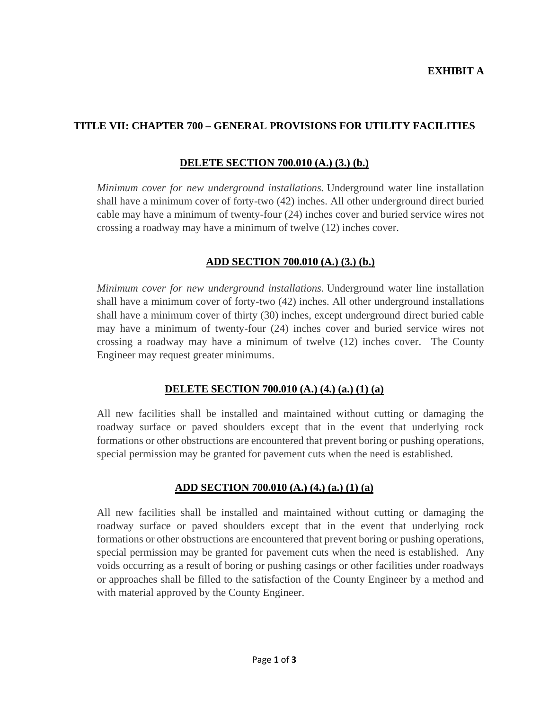# **TITLE VII: CHAPTER 700 – GENERAL PROVISIONS FOR UTILITY FACILITIES**

## **DELETE SECTION 700.010 (A.) (3.) (b.)**

*Minimum cover for new underground installations.* Underground water line installation shall have a minimum cover of forty-two (42) inches. All other underground direct buried cable may have a minimum of twenty-four (24) inches cover and buried service wires not crossing a roadway may have a minimum of twelve (12) inches cover.

# **ADD SECTION 700.010 (A.) (3.) (b.)**

*Minimum cover for new underground installations.* Underground water line installation shall have a minimum cover of forty-two (42) inches. All other underground installations shall have a minimum cover of thirty (30) inches, except underground direct buried cable may have a minimum of twenty-four (24) inches cover and buried service wires not crossing a roadway may have a minimum of twelve (12) inches cover. The County Engineer may request greater minimums.

## **DELETE SECTION 700.010 (A.) (4.) (a.) (1) (a)**

All new facilities shall be installed and maintained without cutting or damaging the roadway surface or paved shoulders except that in the event that underlying rock formations or other obstructions are encountered that prevent boring or pushing operations, special permission may be granted for pavement cuts when the need is established.

## **ADD SECTION 700.010 (A.) (4.) (a.) (1) (a)**

All new facilities shall be installed and maintained without cutting or damaging the roadway surface or paved shoulders except that in the event that underlying rock formations or other obstructions are encountered that prevent boring or pushing operations, special permission may be granted for pavement cuts when the need is established. Any voids occurring as a result of boring or pushing casings or other facilities under roadways or approaches shall be filled to the satisfaction of the County Engineer by a method and with material approved by the County Engineer.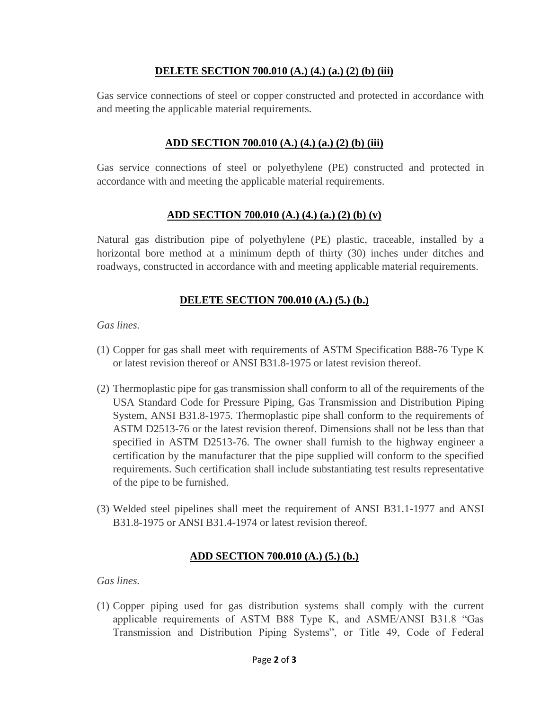#### **DELETE SECTION 700.010 (A.) (4.) (a.) (2) (b) (iii)**

Gas service connections of steel or copper constructed and protected in accordance with and meeting the applicable material requirements.

# **ADD SECTION 700.010 (A.) (4.) (a.) (2) (b) (iii)**

Gas service connections of steel or polyethylene (PE) constructed and protected in accordance with and meeting the applicable material requirements.

# **ADD SECTION 700.010 (A.) (4.) (a.) (2) (b) (v)**

Natural gas distribution pipe of polyethylene (PE) plastic, traceable, installed by a horizontal bore method at a minimum depth of thirty (30) inches under ditches and roadways, constructed in accordance with and meeting applicable material requirements.

# **DELETE SECTION 700.010 (A.) (5.) (b.)**

*Gas lines.*

- (1) Copper for gas shall meet with requirements of ASTM Specification B88-76 Type K or latest revision thereof or ANSI B31.8-1975 or latest revision thereof.
- (2) Thermoplastic pipe for gas transmission shall conform to all of the requirements of the USA Standard Code for Pressure Piping, Gas Transmission and Distribution Piping System, ANSI B31.8-1975. Thermoplastic pipe shall conform to the requirements of ASTM D2513-76 or the latest revision thereof. Dimensions shall not be less than that specified in ASTM D2513-76. The owner shall furnish to the highway engineer a certification by the manufacturer that the pipe supplied will conform to the specified requirements. Such certification shall include substantiating test results representative of the pipe to be furnished.
- (3) Welded steel pipelines shall meet the requirement of ANSI B31.1-1977 and ANSI B31.8-1975 or ANSI B31.4-1974 or latest revision thereof.

## **ADD SECTION 700.010 (A.) (5.) (b.)**

*Gas lines.*

(1) Copper piping used for gas distribution systems shall comply with the current applicable requirements of ASTM B88 Type K, and ASME/ANSI B31.8 "Gas Transmission and Distribution Piping Systems", or Title 49, Code of Federal